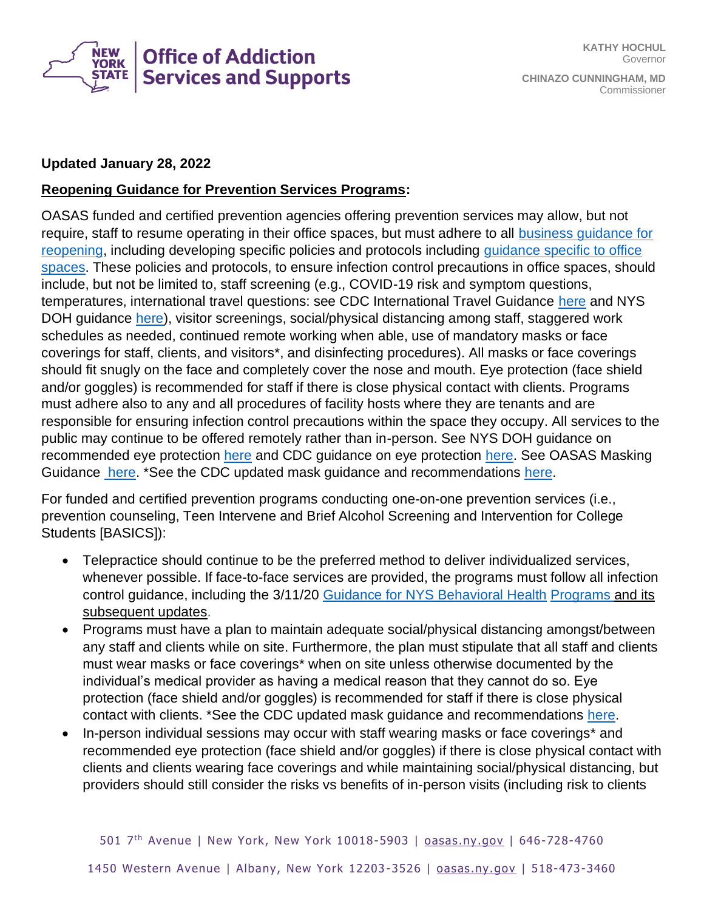

## **Updated January 28, 2022**

## **Reopening Guidance for Prevention Services Programs:**

OASAS funded and certified prevention agencies offering prevention services may allow, but not require, staff to resume operating in their office spaces, but must adhere to all [business guidance for](https://forward.ny.gov/phase-two-industries)  [reopening,](https://forward.ny.gov/phase-two-industries) including developing specific policies and protocols including [guidance specific to office](https://www.governor.ny.gov/sites/governor.ny.gov/files/atoms/files/OfficesSummaryGuidelines.pdf)  [spaces.](https://www.governor.ny.gov/sites/governor.ny.gov/files/atoms/files/OfficesSummaryGuidelines.pdf) These policies and protocols, to ensure infection control precautions in office spaces, should include, but not be limited to, staff screening (e.g., COVID-19 risk and symptom questions, temperatures, international travel questions: see CDC International Travel Guidance [here](https://www.cdc.gov/coronavirus/2019-ncov/travelers/international-travel-during-covid19.html) and NYS DOH guidance [here\)](https://coronavirus.health.ny.gov/system/files/documents/2021/04/exposed-hcp-rtw-guidance_042221.pdf), visitor screenings, social/physical distancing among staff, staggered work schedules as needed, continued remote working when able, use of mandatory masks or face coverings for staff, clients, and visitors\*, and disinfecting procedures). All masks or face coverings should fit snugly on the face and completely cover the nose and mouth. Eye protection (face shield and/or goggles) is recommended for staff if there is close physical contact with clients. Programs must adhere also to any and all procedures of facility hosts where they are tenants and are responsible for ensuring infection control precautions within the space they occupy. All services to the public may continue to be offered remotely rather than in-person. See NYS DOH guidance on recommended eye protection [here](https://coronavirus.health.ny.gov/system/files/documents/2020/11/hcp_eye_protection_guidance_112520.pdf) and CDC guidance on eye protection [here.](https://www.cdc.gov/coronavirus/2019-ncov/hcp/infection-control-recommendations.html?CDC_AA_refVal=https%3A%2F%2Fwww.cdc.gov%2Fcoronavirus%2F2019-ncov%2Finfection-control%2Fcontrol-recommendations.html#anchor_1604360738701) See OASAS Masking Guidance [here.](/guidance-mask-wearing-requirements) \*See the CDC updated mask guidance and recommendations [here.](https://www.cdc.gov/coronavirus/2019-ncov/prevent-getting-sick/types-of-masks.html)

For funded and certified prevention programs conducting one-on-one prevention services (i.e., prevention counseling, Teen Intervene and Brief Alcohol Screening and Intervention for College Students [BASICS]):

- Telepractice should continue to be the preferred method to deliver individualized services, whenever possible. If face-to-face services are provided, the programs must follow all infection control guidance, including the 3/11/20 [Guidance for NYS Behavioral Health](/covid-19-guidance-march-7-2020) Programs and its subsequent updates.
- Programs must have a plan to maintain adequate social/physical distancing amongst/between any staff and clients while on site. Furthermore, the plan must stipulate that all staff and clients must wear masks or face coverings\* when on site unless otherwise documented by the individual's medical provider as having a medical reason that they cannot do so. Eye protection (face shield and/or goggles) is recommended for staff if there is close physical contact with clients. \*See the CDC updated mask guidance and recommendations [here.](https://www.cdc.gov/coronavirus/2019-ncov/prevent-getting-sick/types-of-masks.html)
- In-person individual sessions may occur with staff wearing masks or face coverings\* and recommended eye protection (face shield and/or goggles) if there is close physical contact with clients and clients wearing face coverings and while maintaining social/physical distancing, but providers should still consider the risks vs benefits of in-person visits (including risk to clients